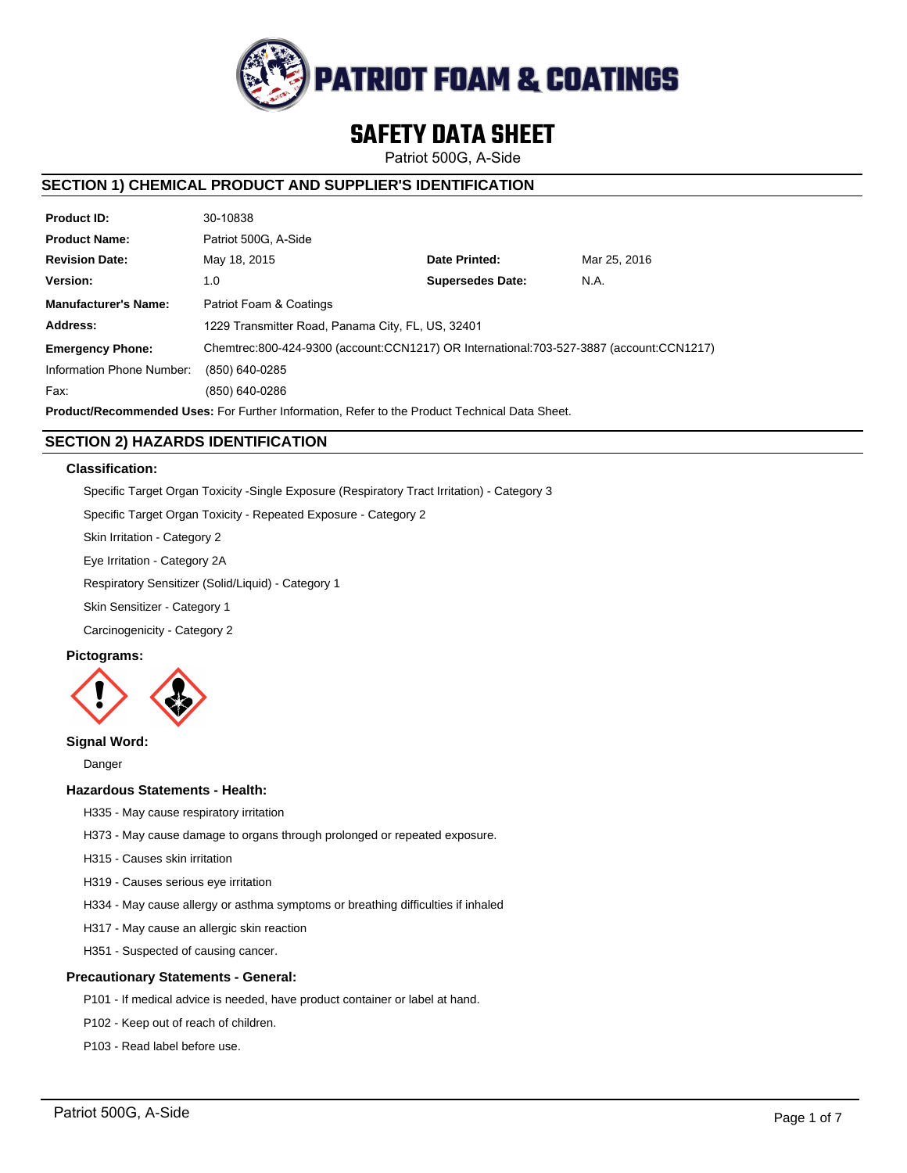

# **SAFETY DATA SHEET**

Patriot 500G, A-Side

# **SECTION 1) CHEMICAL PRODUCT AND SUPPLIER'S IDENTIFICATION**

| <b>Product ID:</b>                                                                                   | 30-10838                                                                                |                         |              |  |  |
|------------------------------------------------------------------------------------------------------|-----------------------------------------------------------------------------------------|-------------------------|--------------|--|--|
| <b>Product Name:</b>                                                                                 | Patriot 500G. A-Side                                                                    |                         |              |  |  |
| <b>Revision Date:</b>                                                                                | May 18, 2015                                                                            | Date Printed:           | Mar 25, 2016 |  |  |
| Version:                                                                                             | 1.0                                                                                     | <b>Supersedes Date:</b> | N.A.         |  |  |
| <b>Manufacturer's Name:</b>                                                                          | Patriot Foam & Coatings                                                                 |                         |              |  |  |
| Address:                                                                                             | 1229 Transmitter Road, Panama City, FL, US, 32401                                       |                         |              |  |  |
| <b>Emergency Phone:</b>                                                                              | Chemtrec:800-424-9300 (account:CCN1217) OR International:703-527-3887 (account:CCN1217) |                         |              |  |  |
| Information Phone Number:                                                                            | (850) 640-0285                                                                          |                         |              |  |  |
| Fax:                                                                                                 | (850) 640-0286                                                                          |                         |              |  |  |
| <b>Product/Recommended Uses:</b> For Further Information. Refer to the Product Technical Data Sheet. |                                                                                         |                         |              |  |  |

**SECTION 2) HAZARDS IDENTIFICATION**

# **Classification:**

Specific Target Organ Toxicity -Single Exposure (Respiratory Tract Irritation) - Category 3

Specific Target Organ Toxicity - Repeated Exposure - Category 2

Skin Irritation - Category 2

Eye Irritation - Category 2A

Respiratory Sensitizer (Solid/Liquid) - Category 1

Skin Sensitizer - Category 1

Carcinogenicity - Category 2

# **Pictograms:**



# **Signal Word:**

Danger

# **Hazardous Statements - Health:**

- H335 May cause respiratory irritation
- H373 May cause damage to organs through prolonged or repeated exposure.
- H315 Causes skin irritation
- H319 Causes serious eye irritation
- H334 May cause allergy or asthma symptoms or breathing difficulties if inhaled
- H317 May cause an allergic skin reaction
- H351 Suspected of causing cancer.

# **Precautionary Statements - General:**

- P101 If medical advice is needed, have product container or label at hand.
- P102 Keep out of reach of children.
- P103 Read label before use.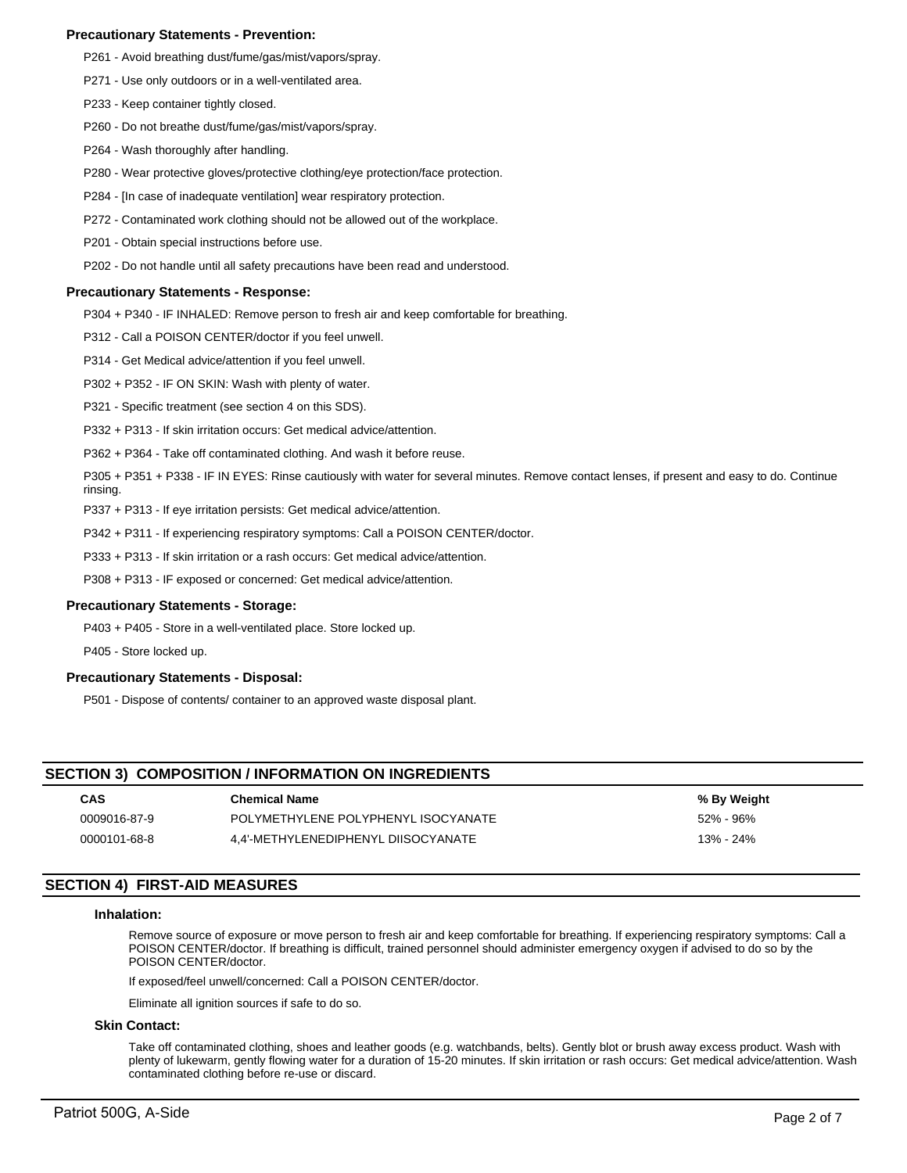# **Precautionary Statements - Prevention:**

- P261 Avoid breathing dust/fume/gas/mist/vapors/spray.
- P271 Use only outdoors or in a well-ventilated area.
- P233 Keep container tightly closed.
- P260 Do not breathe dust/fume/gas/mist/vapors/spray.
- P264 Wash thoroughly after handling.
- P280 Wear protective gloves/protective clothing/eye protection/face protection.
- P284 [In case of inadequate ventilation] wear respiratory protection.
- P272 Contaminated work clothing should not be allowed out of the workplace.
- P201 Obtain special instructions before use.
- P202 Do not handle until all safety precautions have been read and understood.

## **Precautionary Statements - Response:**

P304 + P340 - IF INHALED: Remove person to fresh air and keep comfortable for breathing.

P312 - Call a POISON CENTER/doctor if you feel unwell.

- P314 Get Medical advice/attention if you feel unwell.
- P302 + P352 IF ON SKIN: Wash with plenty of water.
- P321 Specific treatment (see section 4 on this SDS).
- P332 + P313 If skin irritation occurs: Get medical advice/attention.
- P362 + P364 Take off contaminated clothing. And wash it before reuse.
- P305 + P351 + P338 IF IN EYES: Rinse cautiously with water for several minutes. Remove contact lenses, if present and easy to do. Continue rinsing.
- P337 + P313 If eye irritation persists: Get medical advice/attention.
- P342 + P311 If experiencing respiratory symptoms: Call a POISON CENTER/doctor.
- P333 + P313 If skin irritation or a rash occurs: Get medical advice/attention.
- P308 + P313 IF exposed or concerned: Get medical advice/attention.

# **Precautionary Statements - Storage:**

P403 + P405 - Store in a well-ventilated place. Store locked up.

P405 - Store locked up.

# **Precautionary Statements - Disposal:**

P501 - Dispose of contents/ container to an approved waste disposal plant.

# **SECTION 3) COMPOSITION / INFORMATION ON INGREDIENTS**

| <b>CAS</b>   | <b>Chemical Name</b>                | % By Weight |
|--------------|-------------------------------------|-------------|
| 0009016-87-9 | POLYMETHYLENE POLYPHENYL ISOCYANATE | 52% - 96%   |
| 0000101-68-8 | 4.4'-METHYLENEDIPHENYL DIISOCYANATE | 13% - 24%   |

# **SECTION 4) FIRST-AID MEASURES**

#### **Inhalation:**

Remove source of exposure or move person to fresh air and keep comfortable for breathing. If experiencing respiratory symptoms: Call a POISON CENTER/doctor. If breathing is difficult, trained personnel should administer emergency oxygen if advised to do so by the POISON CENTER/doctor.

If exposed/feel unwell/concerned: Call a POISON CENTER/doctor.

Eliminate all ignition sources if safe to do so.

#### **Skin Contact:**

Take off contaminated clothing, shoes and leather goods (e.g. watchbands, belts). Gently blot or brush away excess product. Wash with plenty of lukewarm, gently flowing water for a duration of 15-20 minutes. If skin irritation or rash occurs: Get medical advice/attention. Wash contaminated clothing before re-use or discard.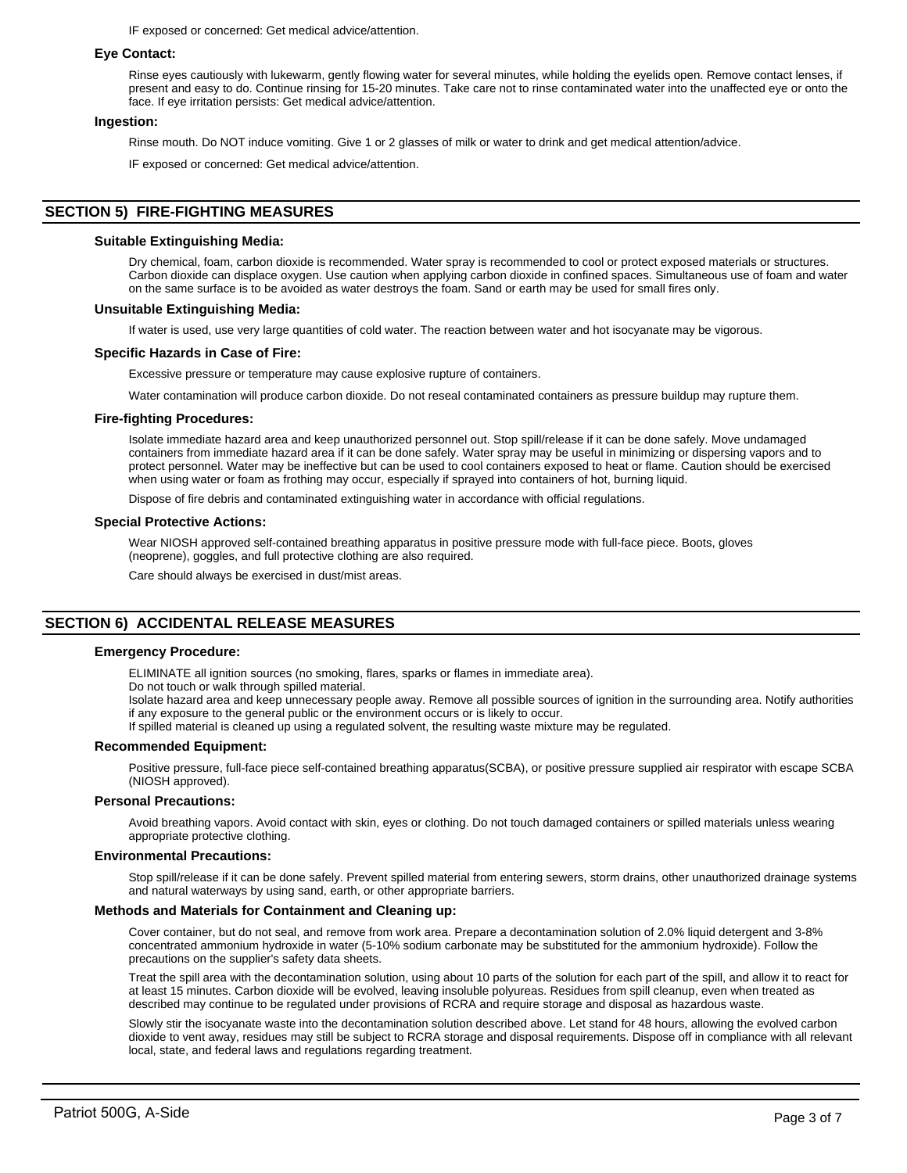IF exposed or concerned: Get medical advice/attention.

## **Eye Contact:**

Rinse eyes cautiously with lukewarm, gently flowing water for several minutes, while holding the eyelids open. Remove contact lenses, if present and easy to do. Continue rinsing for 15-20 minutes. Take care not to rinse contaminated water into the unaffected eye or onto the face. If eye irritation persists: Get medical advice/attention.

## **Ingestion:**

Rinse mouth. Do NOT induce vomiting. Give 1 or 2 glasses of milk or water to drink and get medical attention/advice.

IF exposed or concerned: Get medical advice/attention.

# **SECTION 5) FIRE-FIGHTING MEASURES**

#### **Suitable Extinguishing Media:**

Dry chemical, foam, carbon dioxide is recommended. Water spray is recommended to cool or protect exposed materials or structures. Carbon dioxide can displace oxygen. Use caution when applying carbon dioxide in confined spaces. Simultaneous use of foam and water on the same surface is to be avoided as water destroys the foam. Sand or earth may be used for small fires only.

#### **Unsuitable Extinguishing Media:**

If water is used, use very large quantities of cold water. The reaction between water and hot isocyanate may be vigorous.

#### **Specific Hazards in Case of Fire:**

Excessive pressure or temperature may cause explosive rupture of containers.

Water contamination will produce carbon dioxide. Do not reseal contaminated containers as pressure buildup may rupture them.

#### **Fire-fighting Procedures:**

Isolate immediate hazard area and keep unauthorized personnel out. Stop spill/release if it can be done safely. Move undamaged containers from immediate hazard area if it can be done safely. Water spray may be useful in minimizing or dispersing vapors and to protect personnel. Water may be ineffective but can be used to cool containers exposed to heat or flame. Caution should be exercised when using water or foam as frothing may occur, especially if sprayed into containers of hot, burning liquid.

Dispose of fire debris and contaminated extinguishing water in accordance with official regulations.

#### **Special Protective Actions:**

Wear NIOSH approved self-contained breathing apparatus in positive pressure mode with full-face piece. Boots, gloves (neoprene), goggles, and full protective clothing are also required.

Care should always be exercised in dust/mist areas.

# **SECTION 6) ACCIDENTAL RELEASE MEASURES**

# **Emergency Procedure:**

ELIMINATE all ignition sources (no smoking, flares, sparks or flames in immediate area).

Do not touch or walk through spilled material.

Isolate hazard area and keep unnecessary people away. Remove all possible sources of ignition in the surrounding area. Notify authorities if any exposure to the general public or the environment occurs or is likely to occur.

If spilled material is cleaned up using a regulated solvent, the resulting waste mixture may be regulated.

#### **Recommended Equipment:**

Positive pressure, full-face piece self-contained breathing apparatus(SCBA), or positive pressure supplied air respirator with escape SCBA (NIOSH approved).

## **Personal Precautions:**

Avoid breathing vapors. Avoid contact with skin, eyes or clothing. Do not touch damaged containers or spilled materials unless wearing appropriate protective clothing.

#### **Environmental Precautions:**

Stop spill/release if it can be done safely. Prevent spilled material from entering sewers, storm drains, other unauthorized drainage systems and natural waterways by using sand, earth, or other appropriate barriers.

# **Methods and Materials for Containment and Cleaning up:**

Cover container, but do not seal, and remove from work area. Prepare a decontamination solution of 2.0% liquid detergent and 3-8% concentrated ammonium hydroxide in water (5-10% sodium carbonate may be substituted for the ammonium hydroxide). Follow the precautions on the supplier's safety data sheets.

Treat the spill area with the decontamination solution, using about 10 parts of the solution for each part of the spill, and allow it to react for at least 15 minutes. Carbon dioxide will be evolved, leaving insoluble polyureas. Residues from spill cleanup, even when treated as described may continue to be regulated under provisions of RCRA and require storage and disposal as hazardous waste.

Slowly stir the isocyanate waste into the decontamination solution described above. Let stand for 48 hours, allowing the evolved carbon dioxide to vent away, residues may still be subject to RCRA storage and disposal requirements. Dispose off in compliance with all relevant local, state, and federal laws and regulations regarding treatment.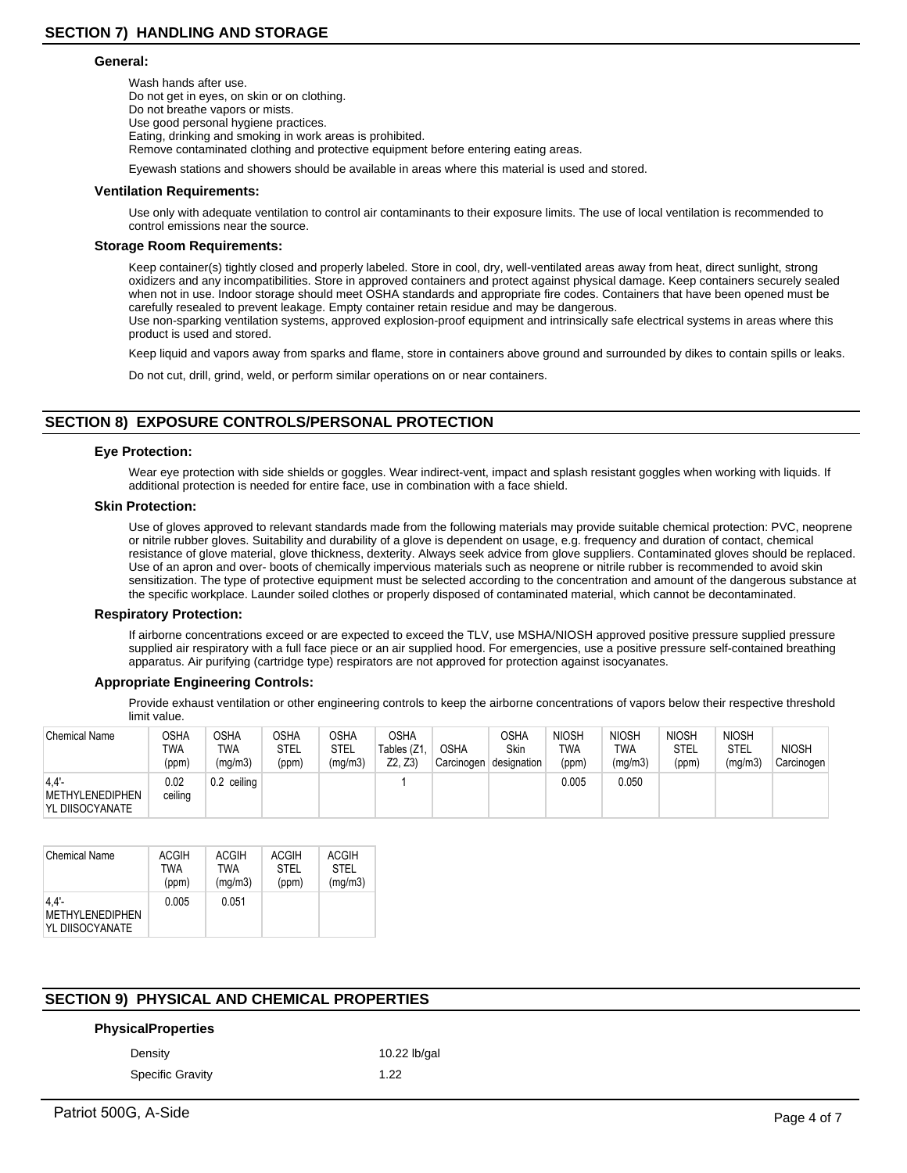#### **General:**

Wash hands after use. Do not get in eyes, on skin or on clothing. Do not breathe vapors or mists. Use good personal hygiene practices. Eating, drinking and smoking in work areas is prohibited. Remove contaminated clothing and protective equipment before entering eating areas.

Eyewash stations and showers should be available in areas where this material is used and stored.

#### **Ventilation Requirements:**

Use only with adequate ventilation to control air contaminants to their exposure limits. The use of local ventilation is recommended to control emissions near the source.

#### **Storage Room Requirements:**

Keep container(s) tightly closed and properly labeled. Store in cool, dry, well-ventilated areas away from heat, direct sunlight, strong oxidizers and any incompatibilities. Store in approved containers and protect against physical damage. Keep containers securely sealed when not in use. Indoor storage should meet OSHA standards and appropriate fire codes. Containers that have been opened must be carefully resealed to prevent leakage. Empty container retain residue and may be dangerous. Use non-sparking ventilation systems, approved explosion-proof equipment and intrinsically safe electrical systems in areas where this product is used and stored.

Keep liquid and vapors away from sparks and flame, store in containers above ground and surrounded by dikes to contain spills or leaks.

Do not cut, drill, grind, weld, or perform similar operations on or near containers.

# **SECTION 8) EXPOSURE CONTROLS/PERSONAL PROTECTION**

#### **Eye Protection:**

Wear eye protection with side shields or goggles. Wear indirect-vent, impact and splash resistant goggles when working with liquids. If additional protection is needed for entire face, use in combination with a face shield.

#### **Skin Protection:**

Use of gloves approved to relevant standards made from the following materials may provide suitable chemical protection: PVC, neoprene or nitrile rubber gloves. Suitability and durability of a glove is dependent on usage, e.g. frequency and duration of contact, chemical resistance of glove material, glove thickness, dexterity. Always seek advice from glove suppliers. Contaminated gloves should be replaced. Use of an apron and over- boots of chemically impervious materials such as neoprene or nitrile rubber is recommended to avoid skin sensitization. The type of protective equipment must be selected according to the concentration and amount of the dangerous substance at the specific workplace. Launder soiled clothes or properly disposed of contaminated material, which cannot be decontaminated.

#### **Respiratory Protection:**

If airborne concentrations exceed or are expected to exceed the TLV, use MSHA/NIOSH approved positive pressure supplied pressure supplied air respiratory with a full face piece or an air supplied hood. For emergencies, use a positive pressure self-contained breathing apparatus. Air purifying (cartridge type) respirators are not approved for protection against isocyanates.

# **Appropriate Engineering Controls:**

Provide exhaust ventilation or other engineering controls to keep the airborne concentrations of vapors below their respective threshold limit value.

| <b>Chemical Name</b>                       | OSHA<br>TWA<br>(ppm) | <b>OSHA</b><br>TWA<br>(mq/m3) | <b>OSHA</b><br>STEL<br>(ppm) | OSHA<br><b>STEL</b><br>(mg/m3) | <b>OSHA</b><br>Tables (Z1.<br>Z2. Z3 | <b>OSHA</b><br>Carcinogen | OSHA<br>Skin<br>designation | <b>NIOSH</b><br><b>TWA</b><br>(ppm) | <b>NIOSH</b><br>TWA<br>(mg/m3) | <b>NIOSH</b><br><b>STEL</b><br>(ppm) | <b>NIOSH</b><br>STEL<br>(ma/m3) | <b>NIOSH</b><br>Carcinogen |
|--------------------------------------------|----------------------|-------------------------------|------------------------------|--------------------------------|--------------------------------------|---------------------------|-----------------------------|-------------------------------------|--------------------------------|--------------------------------------|---------------------------------|----------------------------|
| 4.4'<br>METHYLENEDIPHEN<br>YL DIISOCYANATE | 0.02<br>ceiling      | 0.2 ceiling                   |                              |                                |                                      |                           |                             | 0.005                               | 0.050                          |                                      |                                 |                            |

| <b>Chemical Name</b>                                  | <b>ACGIH</b> | ACGIH   | <b>ACGIH</b> | <b>ACGIH</b> |
|-------------------------------------------------------|--------------|---------|--------------|--------------|
|                                                       | <b>TWA</b>   | TWA     | STFI         | STFI         |
|                                                       | (ppm)        | (mg/m3) | (ppm)        | (mg/m3)      |
| $4.4'$ -<br><b>METHYLENEDIPHEN</b><br>YL DIISOCYANATE | 0.005        | 0.051   |              |              |

# **SECTION 9) PHYSICAL AND CHEMICAL PROPERTIES**

# **PhysicalProperties**

Specific Gravity 1.22

Density 10.22 lb/gal

Patriot 500G, A-Side Page 4 of 7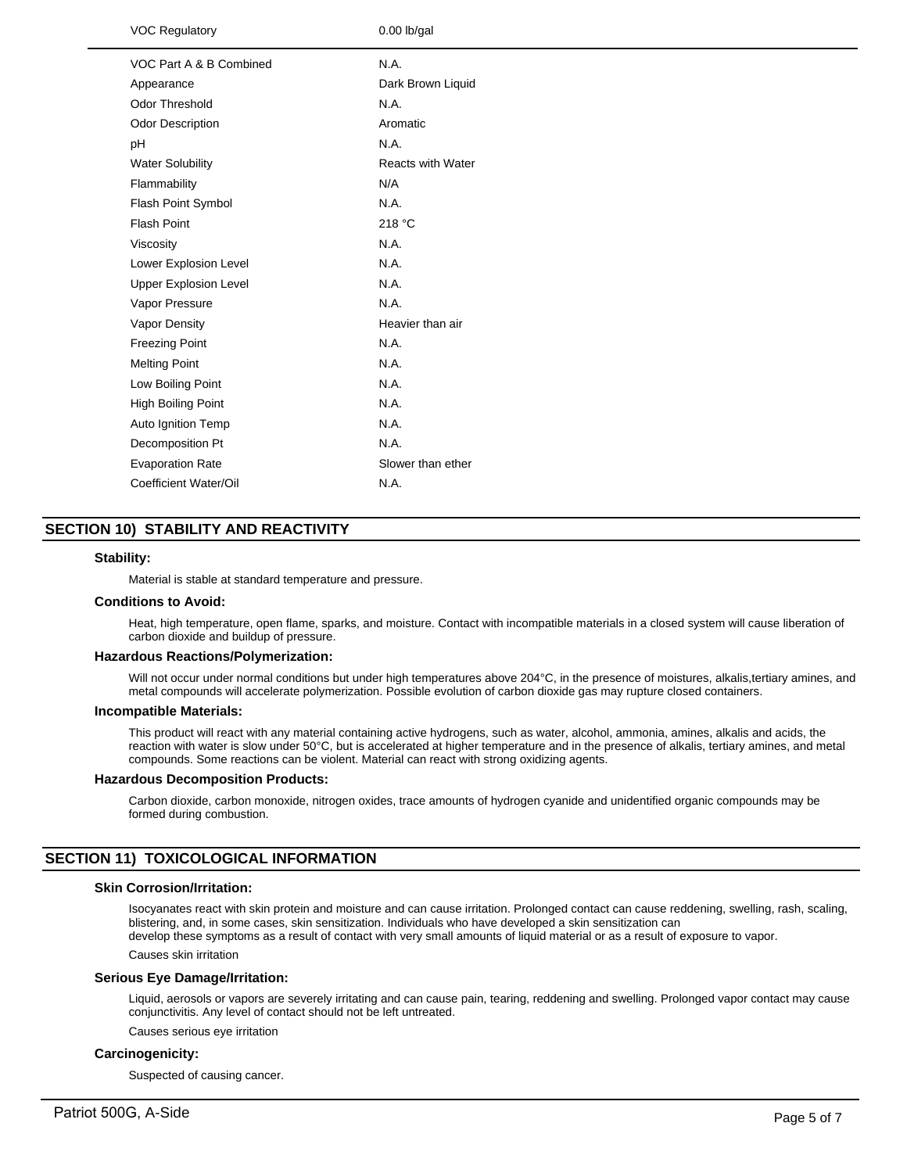| <b>VOC Regulatory</b>        | $0.00$ lb/gal            |
|------------------------------|--------------------------|
| VOC Part A & B Combined      | N.A.                     |
| Appearance                   | Dark Brown Liquid        |
| Odor Threshold               | N.A.                     |
| Odor Description             | Aromatic                 |
| рH                           | N.A.                     |
| <b>Water Solubility</b>      | <b>Reacts with Water</b> |
| Flammability                 | N/A                      |
| Flash Point Symbol           | N.A.                     |
| <b>Flash Point</b>           | 218 °C                   |
| Viscosity                    | N.A.                     |
| Lower Explosion Level        | N.A.                     |
| <b>Upper Explosion Level</b> | N.A.                     |
| Vapor Pressure               | N.A.                     |
| Vapor Density                | Heavier than air         |
| <b>Freezing Point</b>        | N.A.                     |
| <b>Melting Point</b>         | N.A.                     |
| Low Boiling Point            | N.A.                     |
| High Boiling Point           | N.A.                     |
| Auto Ignition Temp           | N.A.                     |
| Decomposition Pt             | N.A.                     |
| <b>Evaporation Rate</b>      | Slower than ether        |
| Coefficient Water/Oil        | N.A.                     |
|                              |                          |

# **SECTION 10) STABILITY AND REACTIVITY**

# **Stability:**

Material is stable at standard temperature and pressure.

## **Conditions to Avoid:**

Heat, high temperature, open flame, sparks, and moisture. Contact with incompatible materials in a closed system will cause liberation of carbon dioxide and buildup of pressure.

#### **Hazardous Reactions/Polymerization:**

Will not occur under normal conditions but under high temperatures above 204°C, in the presence of moistures, alkalis,tertiary amines, and metal compounds will accelerate polymerization. Possible evolution of carbon dioxide gas may rupture closed containers.

#### **Incompatible Materials:**

This product will react with any material containing active hydrogens, such as water, alcohol, ammonia, amines, alkalis and acids, the reaction with water is slow under 50°C, but is accelerated at higher temperature and in the presence of alkalis, tertiary amines, and metal compounds. Some reactions can be violent. Material can react with strong oxidizing agents.

# **Hazardous Decomposition Products:**

Carbon dioxide, carbon monoxide, nitrogen oxides, trace amounts of hydrogen cyanide and unidentified organic compounds may be formed during combustion.

# **SECTION 11) TOXICOLOGICAL INFORMATION**

# **Skin Corrosion/Irritation:**

Isocyanates react with skin protein and moisture and can cause irritation. Prolonged contact can cause reddening, swelling, rash, scaling, blistering, and, in some cases, skin sensitization. Individuals who have developed a skin sensitization can develop these symptoms as a result of contact with very small amounts of liquid material or as a result of exposure to vapor.

Causes skin irritation

#### **Serious Eye Damage/Irritation:**

Liquid, aerosols or vapors are severely irritating and can cause pain, tearing, reddening and swelling. Prolonged vapor contact may cause conjunctivitis. Any level of contact should not be left untreated.

Causes serious eye irritation

#### **Carcinogenicity:**

Suspected of causing cancer.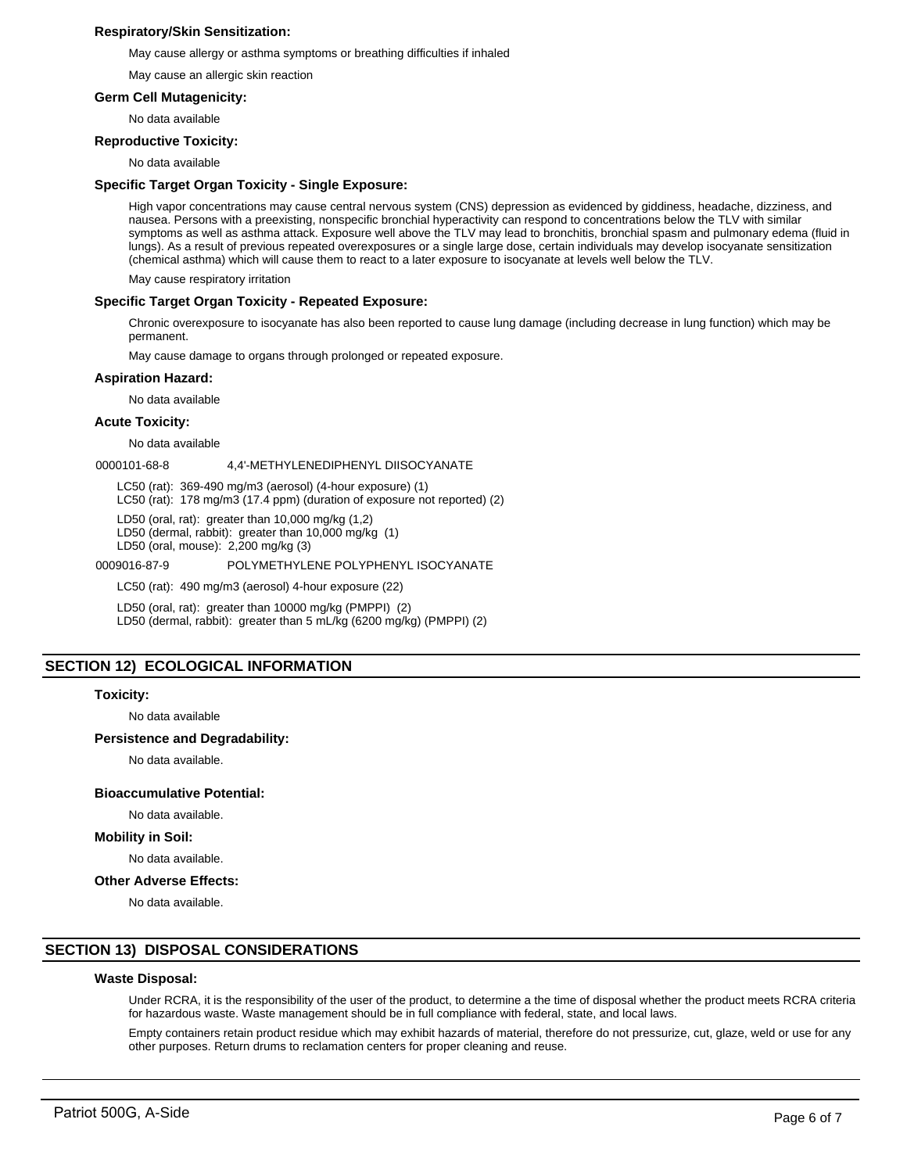# **Respiratory/Skin Sensitization:**

May cause allergy or asthma symptoms or breathing difficulties if inhaled

May cause an allergic skin reaction

## **Germ Cell Mutagenicity:**

No data available

## **Reproductive Toxicity:**

No data available

## **Specific Target Organ Toxicity - Single Exposure:**

High vapor concentrations may cause central nervous system (CNS) depression as evidenced by giddiness, headache, dizziness, and nausea. Persons with a preexisting, nonspecific bronchial hyperactivity can respond to concentrations below the TLV with similar symptoms as well as asthma attack. Exposure well above the TLV may lead to bronchitis, bronchial spasm and pulmonary edema (fluid in lungs). As a result of previous repeated overexposures or a single large dose, certain individuals may develop isocyanate sensitization (chemical asthma) which will cause them to react to a later exposure to isocyanate at levels well below the TLV.

May cause respiratory irritation

# **Specific Target Organ Toxicity - Repeated Exposure:**

Chronic overexposure to isocyanate has also been reported to cause lung damage (including decrease in lung function) which may be permanent.

May cause damage to organs through prolonged or repeated exposure.

#### **Aspiration Hazard:**

No data available

# **Acute Toxicity:**

No data available

0000101-68-8 4,4'-METHYLENEDIPHENYL DIISOCYANATE

LC50 (rat): 369-490 mg/m3 (aerosol) (4-hour exposure) (1)

LC50 (rat): 178 mg/m3 (17.4 ppm) (duration of exposure not reported) (2)

LD50 (oral, rat): greater than 10,000 mg/kg (1,2)

LD50 (dermal, rabbit): greater than 10,000 mg/kg (1)

LD50 (oral, mouse): 2,200 mg/kg (3)

#### 0009016-87-9 POLYMETHYLENE POLYPHENYL ISOCYANATE

LC50 (rat): 490 mg/m3 (aerosol) 4-hour exposure (22)

LD50 (oral, rat): greater than 10000 mg/kg (PMPPI) (2)

LD50 (dermal, rabbit): greater than 5 mL/kg (6200 mg/kg) (PMPPI) (2)

# **SECTION 12) ECOLOGICAL INFORMATION**

#### **Toxicity:**

No data available

#### **Persistence and Degradability:**

No data available.

#### **Bioaccumulative Potential:**

No data available.

## **Mobility in Soil:**

No data available.

#### **Other Adverse Effects:**

No data available.

# **SECTION 13) DISPOSAL CONSIDERATIONS**

# **Waste Disposal:**

Under RCRA, it is the responsibility of the user of the product, to determine a the time of disposal whether the product meets RCRA criteria for hazardous waste. Waste management should be in full compliance with federal, state, and local laws.

Empty containers retain product residue which may exhibit hazards of material, therefore do not pressurize, cut, glaze, weld or use for any other purposes. Return drums to reclamation centers for proper cleaning and reuse.